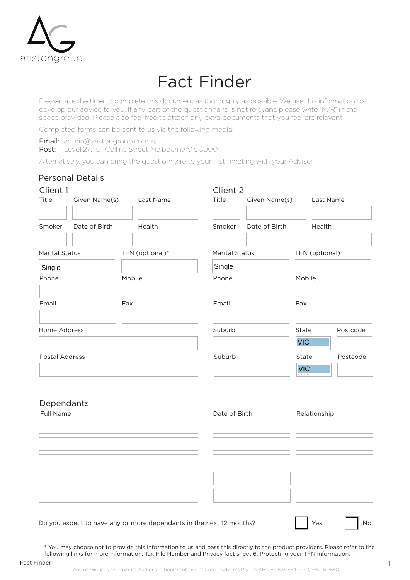

# Fact Finder

Please take the time to complete this document as thoroughly as possible. We use this information to develop our advice to you. If any part of the questionnaire is not relevant, please write "N/R" in the space provided. Please also feel free to attach any extra documents that you feel are relevant.

Completed forms can be sent to us via the following media:

Email: admin@aristongroup.com.au

Post: Level 27, 101 Collins Street Melbourne Vic 3000

Alternatively, you can bring the questionnaire to your first meeting with your Adviser.

| <b>Personal Details</b> |                 |                         |        |                                             |                                                        |
|-------------------------|-----------------|-------------------------|--------|---------------------------------------------|--------------------------------------------------------|
| Client 1                |                 |                         |        |                                             |                                                        |
|                         | Last Name       | Title                   |        |                                             |                                                        |
|                         |                 |                         |        |                                             |                                                        |
|                         |                 |                         |        |                                             |                                                        |
| <b>Marital Status</b>   | TFN (optional)* |                         |        |                                             |                                                        |
|                         |                 | Single                  |        |                                             |                                                        |
|                         | Mobile          | Phone                   |        | Mobile                                      |                                                        |
|                         |                 |                         |        |                                             |                                                        |
|                         | Fax             | Email                   |        | Fax                                         |                                                        |
|                         |                 |                         |        |                                             |                                                        |
| Home Address            |                 | Suburb                  |        | <b>State</b>                                | Postcode                                               |
|                         |                 |                         |        | <b>VIC</b>                                  |                                                        |
| Postal Address          |                 | Suburb                  |        | State                                       | Postcode                                               |
|                         |                 |                         |        | <b>VIC</b>                                  |                                                        |
|                         | Date of Birth   | Given Name(s)<br>Health | Smoker | Client 2<br>Date of Birth<br>Marital Status | Last Name<br>Given Name(s)<br>Health<br>TFN (optional) |

## Dependants

| Full Name | Date of Birth | Relationship |
|-----------|---------------|--------------|
|           |               |              |
|           |               |              |
|           |               |              |
|           |               |              |
|           |               |              |
|           |               |              |

Do you expect to have any or more dependants in the next 12 months?

| <b>Yes</b> | No |
|------------|----|
|------------|----|

\* You may choose not to provide this information to us and pass this directly to the product providers. Please refer to the following links for more information: Tax File Number and Privacy fact sheet 6: Protecting your TFN information.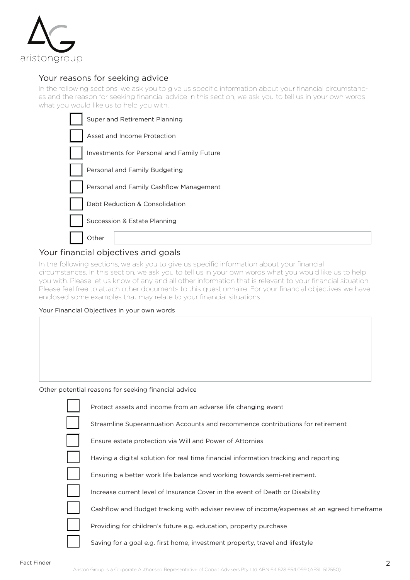

#### Your reasons for seeking advice

In the following sections, we ask you to give us specific information about your financial circumstances and the reason for seeking financial advice In this section, we ask you to tell us in your own words what you would like us to help you with.

| Super and Retirement Planning              |
|--------------------------------------------|
| Asset and Income Protection                |
| Investments for Personal and Family Future |
| Personal and Family Budgeting              |
| Personal and Family Cashflow Management    |
| Debt Reduction & Consolidation             |
| Succession & Estate Planning               |
| Other                                      |

## Your financial objectives and goals

In the following sections, we ask you to give us specific information about your financial circumstances. In this section, we ask you to tell us in your own words what you would like us to help you with. Please let us know of any and all other information that is relevant to your financial situation. Please feel free to attach other documents to this questionnaire. For your financial objectives we have enclosed some examples that may relate to your financial situations.

#### Your Financial Objectives in your own words

Other potential reasons for seeking financial advice

| Protect assets and income from an adverse life changing event                              |
|--------------------------------------------------------------------------------------------|
| Streamline Superannuation Accounts and recommence contributions for retirement             |
| Ensure estate protection via Will and Power of Attornies                                   |
| Having a digital solution for real time financial information tracking and reporting       |
| Ensuring a better work life balance and working towards semi-retirement.                   |
| Increase current level of Insurance Cover in the event of Death or Disability              |
| Cashflow and Budget tracking with adviser review of income/expenses at an agreed timeframe |
| Providing for children's future e.g. education, property purchase                          |
| Saving for a goal e.g. first home, investment property, travel and lifestyle               |
|                                                                                            |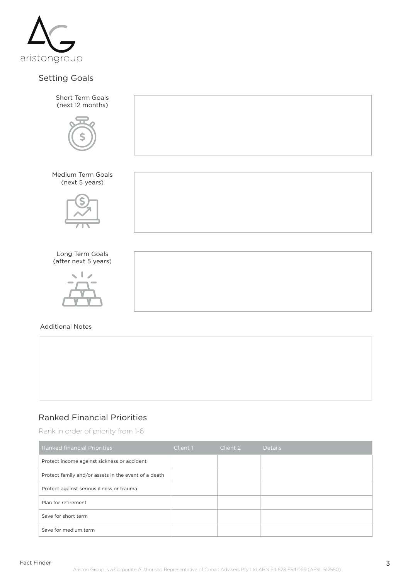

# Setting Goals



# Ranked Financial Priorities

Rank in order of priority from 1-6

| <b>Ranked financial Priorities</b>                   | Client 1 | Client 2 | <b>Details</b> |
|------------------------------------------------------|----------|----------|----------------|
| Protect income against sickness or accident          |          |          |                |
| Protect family and/or assets in the event of a death |          |          |                |
| Protect against serious illness or trauma            |          |          |                |
| Plan for retirement                                  |          |          |                |
| Save for short term                                  |          |          |                |
| Save for medium term                                 |          |          |                |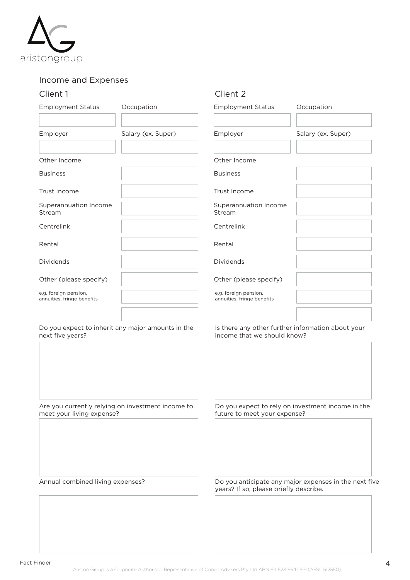

## Income and Expenses

#### Client 1 Client 2

| <b>Employment Status</b>                            | Occupation                                        | <b>Employment Status</b>                                                         | Occupation         |
|-----------------------------------------------------|---------------------------------------------------|----------------------------------------------------------------------------------|--------------------|
| Employer                                            | Salary (ex. Super)                                | Employer                                                                         | Salary (ex. Super) |
| Other Income                                        |                                                   | Other Income                                                                     |                    |
| <b>Business</b>                                     |                                                   | <b>Business</b>                                                                  |                    |
| Trust Income                                        |                                                   | Trust Income                                                                     |                    |
| Superannuation Income<br>Stream                     |                                                   | Superannuation Income<br>Stream                                                  |                    |
| Centrelink                                          |                                                   | Centrelink                                                                       |                    |
| Rental                                              |                                                   | Rental                                                                           |                    |
| <b>Dividends</b>                                    |                                                   | <b>Dividends</b>                                                                 |                    |
| Other (please specify)                              |                                                   | Other (please specify)                                                           |                    |
| e.g. foreign pension,<br>annuities, fringe benefits |                                                   | e.g. foreign pension,<br>annuities, fringe benefits                              |                    |
| next five years?                                    | Do you expect to inherit any major amounts in the | Is there any other further information about your<br>income that we should know? |                    |

Are you currently relying on investment income to

meet your living expense?

Do you expect to rely on investment income in the future to meet your expense?

Annual combined living expenses? <br>
Do you anticipate any major expenses in the next five years? If so, please briefly describe.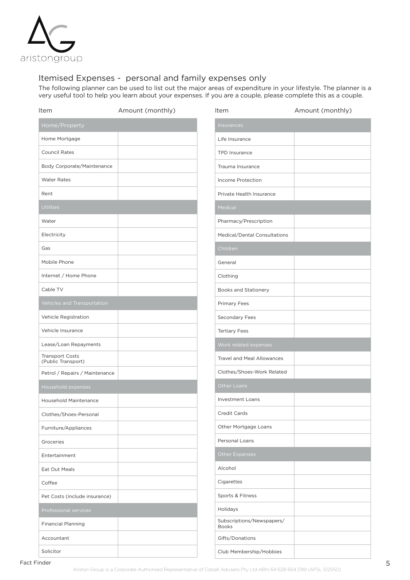

#### Itemised Expenses - personal and family expenses only

The following planner can be used to list out the major areas of expenditure in your lifestyle. The planner is a very useful tool to help you learn about your expenses. If you are a couple, please complete this as a couple.

| Item                                         | Amount (monthly) | Item                                      | Amount (monthly) |
|----------------------------------------------|------------------|-------------------------------------------|------------------|
| Home/Property                                |                  | Insurances                                |                  |
| Home Mortgage                                |                  | Life Insurance                            |                  |
| <b>Council Rates</b>                         |                  | <b>TPD Insurance</b>                      |                  |
| Body Corporate/Maintenance                   |                  | Trauma Insurance                          |                  |
| <b>Water Rates</b>                           |                  | Income Protection                         |                  |
| Rent                                         |                  | Private Health Insurance                  |                  |
| <b>Utilities</b>                             |                  | Medical                                   |                  |
| Water                                        |                  | Pharmacy/Prescription                     |                  |
| Electricity                                  |                  | Medical/Dental Consultations              |                  |
| Gas                                          |                  | Children                                  |                  |
| Mobile Phone                                 |                  | General                                   |                  |
| Internet / Home Phone                        |                  | Clothing                                  |                  |
| Cable TV                                     |                  | <b>Books and Stationery</b>               |                  |
| Vehicles and Transportation                  |                  | <b>Primary Fees</b>                       |                  |
| Vehicle Registration                         |                  | Secondary Fees                            |                  |
| Vehicle Insurance                            |                  | <b>Tertiary Fees</b>                      |                  |
| Lease/Loan Repayments                        |                  | Work related expenses                     |                  |
| <b>Transport Costs</b><br>(Public Transport) |                  | <b>Travel and Meal Allowances</b>         |                  |
| Petrol / Repairs / Maintenance               |                  | Clothes/Shoes-Work Related                |                  |
| Household expenses                           |                  | Other Loans                               |                  |
| Household Maintenance                        |                  | <b>Investment Loans</b>                   |                  |
| Clothes/Shoes-Personal                       |                  | <b>Credit Cards</b>                       |                  |
| Furniture/Appliances                         |                  | Other Mortgage Loans                      |                  |
| Groceries                                    |                  | Personal Loans                            |                  |
| Entertainment                                |                  | Other Expenses                            |                  |
| Eat Out Meals                                |                  | Alcohol                                   |                  |
| Coffee                                       |                  | Cigarettes                                |                  |
| Pet Costs (include insurance)                |                  | Sports & Fitness                          |                  |
| Professional services                        |                  | Holidays                                  |                  |
| <b>Financial Planning</b>                    |                  | Subscriptions/Newspapers/<br><b>Books</b> |                  |
| Accountant                                   |                  | Gifts/Donations                           |                  |
| Solicitor                                    |                  | Club Membership/Hobbies                   |                  |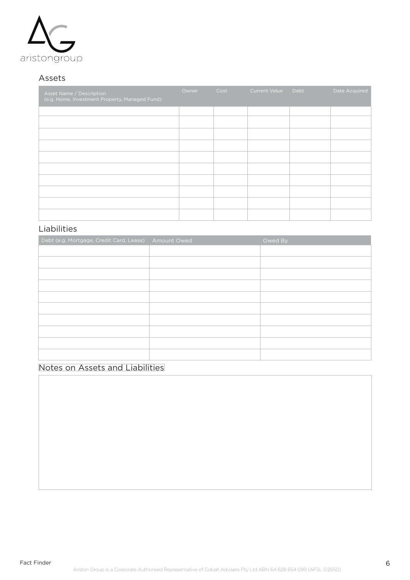

## Assets

| Asset Name / Description<br>(e.g. Home, Investment Property, Managed Fund) | Owner | Cost | <b>Current Value</b> | Debt | Date Acquired |
|----------------------------------------------------------------------------|-------|------|----------------------|------|---------------|
|                                                                            |       |      |                      |      |               |
|                                                                            |       |      |                      |      |               |
|                                                                            |       |      |                      |      |               |
|                                                                            |       |      |                      |      |               |
|                                                                            |       |      |                      |      |               |
|                                                                            |       |      |                      |      |               |
|                                                                            |       |      |                      |      |               |
|                                                                            |       |      |                      |      |               |
|                                                                            |       |      |                      |      |               |
|                                                                            |       |      |                      |      |               |

# Liabilities

| Debt (e.g. Mortgage, Credit Card, Lease) Amount Owed | Owed By |
|------------------------------------------------------|---------|
|                                                      |         |
|                                                      |         |
|                                                      |         |
|                                                      |         |
|                                                      |         |
|                                                      |         |
|                                                      |         |
|                                                      |         |
|                                                      |         |
|                                                      |         |

# Notes on Assets and Liabilities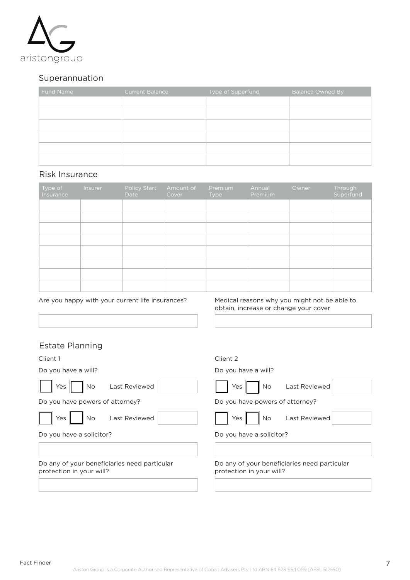

#### Superannuation

| Fund Name | <b>Current Balance</b> | Type of Superfund | <b>Balance Owned By</b> |
|-----------|------------------------|-------------------|-------------------------|
|           |                        |                   |                         |
|           |                        |                   |                         |
|           |                        |                   |                         |
|           |                        |                   |                         |
|           |                        |                   |                         |
|           |                        |                   |                         |

#### Risk Insurance

| Type of<br>Insurance | Insurer | Policy Start<br>Date | Amount of<br>Cover | Premium<br>Type | Annual<br>Premium | Owner | Through<br>Superfund |
|----------------------|---------|----------------------|--------------------|-----------------|-------------------|-------|----------------------|
|                      |         |                      |                    |                 |                   |       |                      |
|                      |         |                      |                    |                 |                   |       |                      |
|                      |         |                      |                    |                 |                   |       |                      |
|                      |         |                      |                    |                 |                   |       |                      |
|                      |         |                      |                    |                 |                   |       |                      |
|                      |         |                      |                    |                 |                   |       |                      |
|                      |         |                      |                    |                 |                   |       |                      |
|                      |         |                      |                    |                 |                   |       |                      |

#### Are you happy with your current life insurances?

Medical reasons why you might not be able to obtain, increase or change your cover

# Estate Planning

| Client 1                                                                 | Client 2                                                                 |
|--------------------------------------------------------------------------|--------------------------------------------------------------------------|
| Do you have a will?                                                      | Do you have a will?                                                      |
| Last Reviewed<br>Yes<br>No                                               | Last Reviewed<br>No<br>Yes                                               |
| Do you have powers of attorney?                                          | Do you have powers of attorney?                                          |
| Last Reviewed<br>Yes<br>No                                               | Last Reviewed<br><b>No</b><br>Yes                                        |
| Do you have a solicitor?                                                 | Do you have a solicitor?                                                 |
| Do any of your beneficiaries need particular<br>protection in your will? | Do any of your beneficiaries need particular<br>protection in your will? |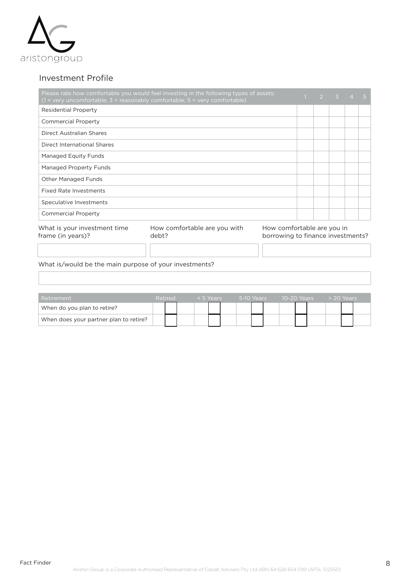

#### Investment Profile

|                                                   | Please rate how comfortable you would feel investing in the following types of assets:<br>$(1 = \text{very unconfortable}; 3 = \text{reasonably comfortable}; 5 = \text{very comfortable})$ |                                                                 |  | $2 \times 3$ | $\overline{4}$ | 457 |
|---------------------------------------------------|---------------------------------------------------------------------------------------------------------------------------------------------------------------------------------------------|-----------------------------------------------------------------|--|--------------|----------------|-----|
| Residential Property                              |                                                                                                                                                                                             |                                                                 |  |              |                |     |
| <b>Commercial Property</b>                        |                                                                                                                                                                                             |                                                                 |  |              |                |     |
| <b>Direct Australian Shares</b>                   |                                                                                                                                                                                             |                                                                 |  |              |                |     |
| Direct International Shares                       |                                                                                                                                                                                             |                                                                 |  |              |                |     |
| Managed Equity Funds                              |                                                                                                                                                                                             |                                                                 |  |              |                |     |
| Managed Property Funds                            |                                                                                                                                                                                             |                                                                 |  |              |                |     |
| <b>Other Managed Funds</b>                        |                                                                                                                                                                                             |                                                                 |  |              |                |     |
| <b>Fixed Rate Investments</b>                     |                                                                                                                                                                                             |                                                                 |  |              |                |     |
| Speculative Investments                           |                                                                                                                                                                                             |                                                                 |  |              |                |     |
| <b>Commercial Property</b>                        |                                                                                                                                                                                             |                                                                 |  |              |                |     |
| What is your investment time<br>frame (in years)? | How comfortable are you with<br>debt?                                                                                                                                                       | How comfortable are you in<br>borrowing to finance investments? |  |              |                |     |

What is/would be the main purpose of your investments?

| Retirement                             | Retired |  | < 5 Years | 5-10 Years |  | 10-20 Years |  | $>$ 20 Years |  |
|----------------------------------------|---------|--|-----------|------------|--|-------------|--|--------------|--|
| When do you plan to retire?            |         |  |           |            |  |             |  |              |  |
| When does your partner plan to retire? |         |  |           |            |  |             |  |              |  |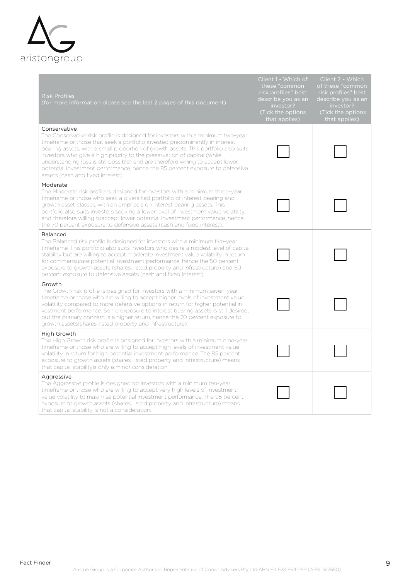

| <b>Risk Profiles</b><br>(for more information please see the last 2 pages of this document)                                                                                                                                                                                                                                                                                                                                                                                                                                                               | Client 1 - Which of<br>these "common<br>risk profiles" best<br>describe you as an<br>investor?<br>(Tick the options<br>that applies) | Client 2 - Which<br>of these "common<br>risk profiles" best<br>describe you as an<br>investor?<br>(Tick the options<br>that applies) |
|-----------------------------------------------------------------------------------------------------------------------------------------------------------------------------------------------------------------------------------------------------------------------------------------------------------------------------------------------------------------------------------------------------------------------------------------------------------------------------------------------------------------------------------------------------------|--------------------------------------------------------------------------------------------------------------------------------------|--------------------------------------------------------------------------------------------------------------------------------------|
| Conservative<br>The Conservative risk profile is designed for investors with a minimum two-year<br>timeframe or those that seek a portfolio invested predominantly in interest<br>bearing assets, with a small proportion of growth assets. This portfolio also suits<br>investors who give a high priority to the preservation of capital (while<br>understanding loss is still possible) and are therefore willing to accept lower<br>potential investment performance, hence the 85 percent exposure to defensive<br>assets (cash and fixed interest). |                                                                                                                                      |                                                                                                                                      |
| Moderate<br>The Moderate risk profile is designed for investors with a minimum three-year<br>timeframe or those who seek a diversified portfolio of interest bearing and<br>growth asset classes, with an emphasis on interest bearing assets. This<br>portfolio also suits investors seeking a lower level of investment value volatility,<br>and therefore willing toaccept lower potential investment performance, hence<br>the 70 percent exposure to defensive assets (cash and fixed interest)                                                      |                                                                                                                                      |                                                                                                                                      |
| <b>Balanced</b><br>The Balanced risk profile is designed for investors with a minimum five-year<br>timeframe. This portfolio also suits investors who desire a modest level of capital<br>stability but are willing to accept moderate investment value volatility in return<br>for commensurate potential investment performance, hence the 50 percent<br>exposure to growth assets (shares, listed property and infrastructure) and 50<br>percent exposure to defensive assets (cash and fixed interest).                                               |                                                                                                                                      |                                                                                                                                      |
| Growth<br>The Growth risk profile is designed for investors with a minimum seven-year<br>timeframe or those who are willing to accept higher levels of investment value<br>volatility compared to more defensive options in return for higher potential in-<br>vestment performance. Some exposure to interest bearing assets is still desired.<br>but the primary concern is a higher return, hence the 70 percent exposure to<br>growth assets (shares, listed property and infrastructure).                                                            |                                                                                                                                      |                                                                                                                                      |
| High Growth<br>The High Growth risk profile is designed for investors with a minimum nine-year<br>timeframe or those who are willing to accept high levels of investment value<br>volatility in return for high potential investment performance. The 85 percent<br>exposure to growth assets (shares, listed property and infrastructure) means<br>that capital stability is only a minor consideration.                                                                                                                                                 |                                                                                                                                      |                                                                                                                                      |
| Aggressive<br>The Aggressive profile is designed for investors with a minimum ten-year<br>timeframe or those who are willing to accept very high levels of investment<br>value volatility to maximise potential investment performance. The 95 percent<br>exposure to growth assets (shares, listed property and infrastructure) means<br>that capital stability is not a consideration.                                                                                                                                                                  |                                                                                                                                      |                                                                                                                                      |